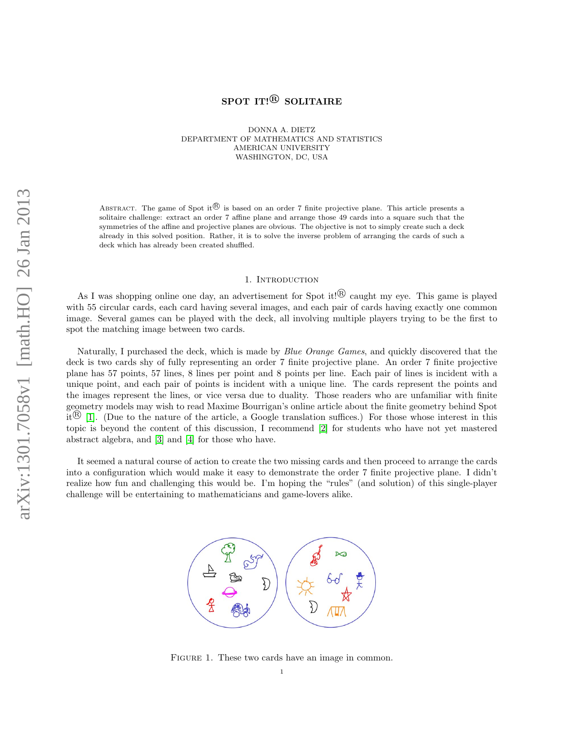# SPOT IT!<sup>®</sup> SOLITAIRE

DONNA A. DIETZ DEPARTMENT OF MATHEMATICS AND STATISTICS AMERICAN UNIVERSITY WASHINGTON, DC, USA

ABSTRACT. The game of Spot it  $\mathbb{B}$  is based on an order 7 finite projective plane. This article presents a solitaire challenge: extract an order 7 affine plane and arrange those 49 cards into a square such that the symmetries of the affine and projective planes are obvious. The objective is not to simply create such a deck already in this solved position. Rather, it is to solve the inverse problem of arranging the cards of such a deck which has already been created shuffled.

#### 1. INTRODUCTION

As I was shopping online one day, an advertisement for Spot it! $\mathbb{B}$  caught my eye. This game is played with 55 circular cards, each card having several images, and each pair of cards having exactly one common image. Several games can be played with the deck, all involving multiple players trying to be the first to spot the matching image between two cards.

Naturally, I purchased the deck, which is made by *Blue Orange Games*, and quickly discovered that the deck is two cards shy of fully representing an order 7 finite projective plane. An order 7 finite projective plane has 57 points, 57 lines, 8 lines per point and 8 points per line. Each pair of lines is incident with a unique point, and each pair of points is incident with a unique line. The cards represent the points and the images represent the lines, or vice versa due to duality. Those readers who are unfamiliar with finite geometry models may wish to read Maxime Bourrigan's online article about the finite geometry behind Spot it  $\mathbb{B}$  [\[1\]](#page-4-0). (Due to the nature of the article, a Google translation suffices.) For those whose interest in this topic is beyond the content of this discussion, I recommend [\[2\]](#page-4-1) for students who have not yet mastered abstract algebra, and [\[3\]](#page-4-2) and [\[4\]](#page-4-3) for those who have.

It seemed a natural course of action to create the two missing cards and then proceed to arrange the cards into a configuration which would make it easy to demonstrate the order 7 finite projective plane. I didn't realize how fun and challenging this would be. I'm hoping the "rules" (and solution) of this single-player challenge will be entertaining to mathematicians and game-lovers alike.



FIGURE 1. These two cards have an image in common.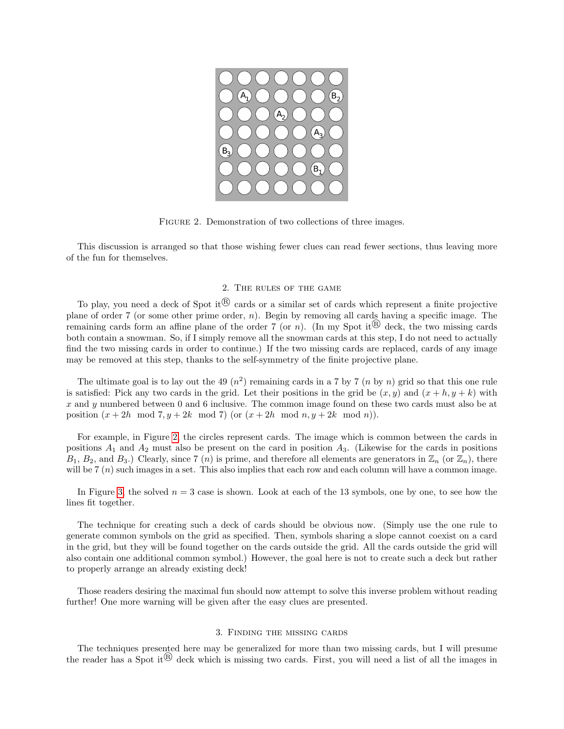

FIGURE 2. Demonstration of two collections of three images.

This discussion is arranged so that those wishing fewer clues can read fewer sections, thus leaving more of the fun for themselves.

# <span id="page-1-0"></span>2. The rules of the game

To play, you need a deck of Spot it  $\mathbb{B}$  cards or a similar set of cards which represent a finite projective plane of order 7 (or some other prime order,  $n$ ). Begin by removing all cards having a specific image. The remaining cards form an affine plane of the order 7 (or n). (In my Spot it<sup>(R)</sup> deck, the two missing cards both contain a snowman. So, if I simply remove all the snowman cards at this step, I do not need to actually find the two missing cards in order to continue.) If the two missing cards are replaced, cards of any image may be removed at this step, thanks to the self-symmetry of the finite projective plane.

The ultimate goal is to lay out the 49  $(n^2)$  remaining cards in a 7 by 7  $(n$  by n) grid so that this one rule is satisfied: Pick any two cards in the grid. Let their positions in the grid be  $(x, y)$  and  $(x + h, y + k)$  with x and y numbered between 0 and 6 inclusive. The common image found on these two cards must also be at position  $(x+2h \mod 7, y+2k \mod 7)$  (or  $(x+2h \mod n, y+2k \mod n)$ ).

For example, in Figure [2,](#page-1-0) the circles represent cards. The image which is common between the cards in positions  $A_1$  and  $A_2$  must also be present on the card in position  $A_3$ . (Likewise for the cards in positions  $B_1, B_2$ , and  $B_3$ .) Clearly, since 7 (n) is prime, and therefore all elements are generators in  $\mathbb{Z}_n$  (or  $\mathbb{Z}_n$ ), there will be  $7(n)$  such images in a set. This also implies that each row and each column will have a common image.

In Figure [3,](#page-2-0) the solved  $n = 3$  case is shown. Look at each of the 13 symbols, one by one, to see how the lines fit together.

The technique for creating such a deck of cards should be obvious now. (Simply use the one rule to generate common symbols on the grid as specified. Then, symbols sharing a slope cannot coexist on a card in the grid, but they will be found together on the cards outside the grid. All the cards outside the grid will also contain one additional common symbol.) However, the goal here is not to create such a deck but rather to properly arrange an already existing deck!

Those readers desiring the maximal fun should now attempt to solve this inverse problem without reading further! One more warning will be given after the easy clues are presented.

# 3. Finding the missing cards

The techniques presented here may be generalized for more than two missing cards, but I will presume the reader has a Spot it  $\mathbb{B}$  deck which is missing two cards. First, you will need a list of all the images in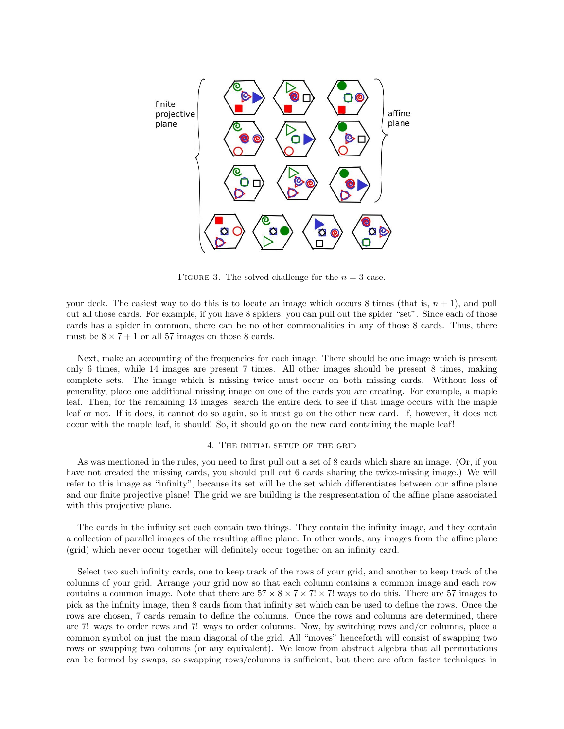

<span id="page-2-0"></span>FIGURE 3. The solved challenge for the  $n = 3$  case.

your deck. The easiest way to do this is to locate an image which occurs 8 times (that is,  $n + 1$ ), and pull out all those cards. For example, if you have 8 spiders, you can pull out the spider "set". Since each of those cards has a spider in common, there can be no other commonalities in any of those 8 cards. Thus, there must be  $8 \times 7 + 1$  or all 57 images on those 8 cards.

Next, make an accounting of the frequencies for each image. There should be one image which is present only 6 times, while 14 images are present 7 times. All other images should be present 8 times, making complete sets. The image which is missing twice must occur on both missing cards. Without loss of generality, place one additional missing image on one of the cards you are creating. For example, a maple leaf. Then, for the remaining 13 images, search the entire deck to see if that image occurs with the maple leaf or not. If it does, it cannot do so again, so it must go on the other new card. If, however, it does not occur with the maple leaf, it should! So, it should go on the new card containing the maple leaf!

#### 4. The initial setup of the grid

As was mentioned in the rules, you need to first pull out a set of 8 cards which share an image. (Or, if you have not created the missing cards, you should pull out 6 cards sharing the twice-missing image.) We will refer to this image as "infinity", because its set will be the set which differentiates between our affine plane and our finite projective plane! The grid we are building is the respresentation of the affine plane associated with this projective plane.

The cards in the infinity set each contain two things. They contain the infinity image, and they contain a collection of parallel images of the resulting affine plane. In other words, any images from the affine plane (grid) which never occur together will definitely occur together on an infinity card.

Select two such infinity cards, one to keep track of the rows of your grid, and another to keep track of the columns of your grid. Arrange your grid now so that each column contains a common image and each row contains a common image. Note that there are  $57 \times 8 \times 7 \times 7! \times 7!$  ways to do this. There are 57 images to pick as the infinity image, then 8 cards from that infinity set which can be used to define the rows. Once the rows are chosen, 7 cards remain to define the columns. Once the rows and columns are determined, there are 7! ways to order rows and 7! ways to order columns. Now, by switching rows and/or columns, place a common symbol on just the main diagonal of the grid. All "moves" henceforth will consist of swapping two rows or swapping two columns (or any equivalent). We know from abstract algebra that all permutations can be formed by swaps, so swapping rows/columns is sufficient, but there are often faster techniques in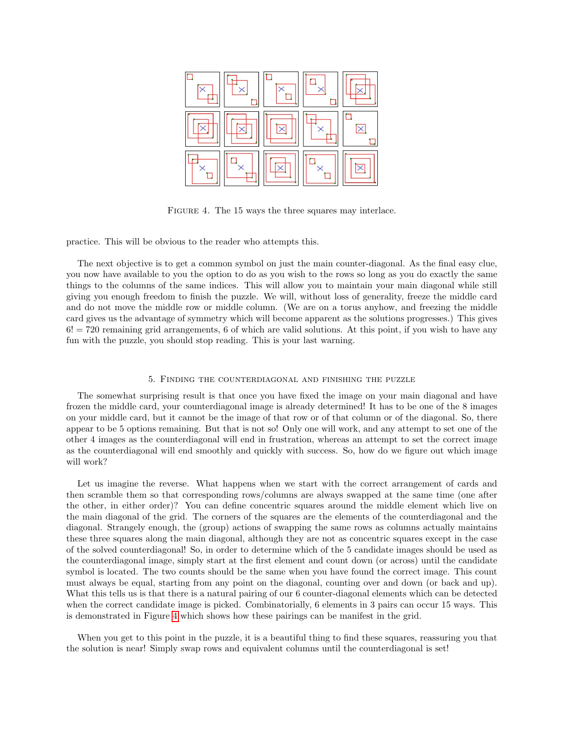

<span id="page-3-0"></span>FIGURE 4. The 15 ways the three squares may interlace.

practice. This will be obvious to the reader who attempts this.

The next objective is to get a common symbol on just the main counter-diagonal. As the final easy clue, you now have available to you the option to do as you wish to the rows so long as you do exactly the same things to the columns of the same indices. This will allow you to maintain your main diagonal while still giving you enough freedom to finish the puzzle. We will, without loss of generality, freeze the middle card and do not move the middle row or middle column. (We are on a torus anyhow, and freezing the middle card gives us the advantage of symmetry which will become apparent as the solutions progresses.) This gives  $6! = 720$  remaining grid arrangements, 6 of which are valid solutions. At this point, if you wish to have any fun with the puzzle, you should stop reading. This is your last warning.

# 5. Finding the counterdiagonal and finishing the puzzle

The somewhat surprising result is that once you have fixed the image on your main diagonal and have frozen the middle card, your counterdiagonal image is already determined! It has to be one of the 8 images on your middle card, but it cannot be the image of that row or of that column or of the diagonal. So, there appear to be 5 options remaining. But that is not so! Only one will work, and any attempt to set one of the other 4 images as the counterdiagonal will end in frustration, whereas an attempt to set the correct image as the counterdiagonal will end smoothly and quickly with success. So, how do we figure out which image will work?

Let us imagine the reverse. What happens when we start with the correct arrangement of cards and then scramble them so that corresponding rows/columns are always swapped at the same time (one after the other, in either order)? You can define concentric squares around the middle element which live on the main diagonal of the grid. The corners of the squares are the elements of the counterdiagonal and the diagonal. Strangely enough, the (group) actions of swapping the same rows as columns actually maintains these three squares along the main diagonal, although they are not as concentric squares except in the case of the solved counterdiagonal! So, in order to determine which of the 5 candidate images should be used as the counterdiagonal image, simply start at the first element and count down (or across) until the candidate symbol is located. The two counts should be the same when you have found the correct image. This count must always be equal, starting from any point on the diagonal, counting over and down (or back and up). What this tells us is that there is a natural pairing of our 6 counter-diagonal elements which can be detected when the correct candidate image is picked. Combinatorially, 6 elements in 3 pairs can occur 15 ways. This is demonstrated in Figure [4](#page-3-0) which shows how these pairings can be manifest in the grid.

When you get to this point in the puzzle, it is a beautiful thing to find these squares, reassuring you that the solution is near! Simply swap rows and equivalent columns until the counterdiagonal is set!